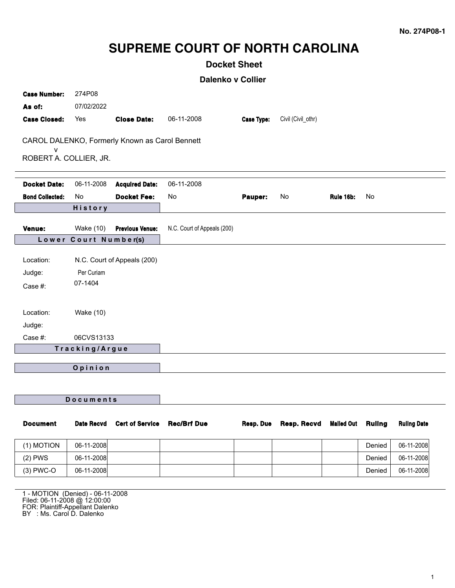# **SUPREME COURT OF NORTH CAROLINA**

## **Docket Sheet**

**Dalenko v Collier**

| <b>Case Number:</b><br>As of:  | 274P08<br>07/02/2022                                 |                                                |                             |                   |                    |                   |               |                    |
|--------------------------------|------------------------------------------------------|------------------------------------------------|-----------------------------|-------------------|--------------------|-------------------|---------------|--------------------|
| <b>Case Closed:</b>            | Yes                                                  | <b>Close Date:</b>                             | 06-11-2008                  | <b>Case Type:</b> | Civil (Civil_othr) |                   |               |                    |
| v<br>ROBERT A. COLLIER, JR.    |                                                      | CAROL DALENKO, Formerly Known as Carol Bennett |                             |                   |                    |                   |               |                    |
| <b>Docket Date:</b>            | 06-11-2008                                           | <b>Acquired Date:</b>                          | 06-11-2008                  |                   |                    |                   |               |                    |
| <b>Bond Collected:</b>         | No.                                                  | <b>Docket Fee:</b>                             | No                          | Pauper:           | No                 | <b>Rule 16b:</b>  | No            |                    |
|                                | History                                              |                                                |                             |                   |                    |                   |               |                    |
| Venue:                         | <b>Wake (10)</b>                                     | <b>Previous Venue:</b>                         | N.C. Court of Appeals (200) |                   |                    |                   |               |                    |
|                                | Lower Court Number(s)                                |                                                |                             |                   |                    |                   |               |                    |
| Location:<br>Judge:<br>Case #: | N.C. Court of Appeals (200)<br>Per Curiam<br>07-1404 |                                                |                             |                   |                    |                   |               |                    |
| Location:<br>Judge:            | Wake (10)                                            |                                                |                             |                   |                    |                   |               |                    |
| Case #:                        | 06CVS13133                                           |                                                |                             |                   |                    |                   |               |                    |
| Tracking/Argue                 |                                                      |                                                |                             |                   |                    |                   |               |                    |
| Opinion                        |                                                      |                                                |                             |                   |                    |                   |               |                    |
|                                |                                                      |                                                |                             |                   |                    |                   |               |                    |
| Documents                      |                                                      |                                                |                             |                   |                    |                   |               |                    |
| <b>Document</b>                | <b>Date Recvd</b>                                    | <b>Cert of Service</b>                         | <b>Rec/Brf Due</b>          | Resp. Due         | <b>Resp. Recvd</b> | <b>Mailed Out</b> | <b>Ruling</b> | <b>Ruling Date</b> |
| $(1)$ MOTION                   | 06-11-2008                                           |                                                |                             |                   |                    |                   | <b>Danied</b> | 06-11-2008         |

| (1) MOTION  | 06-11-2008 |  |  | Denied | 06-11-2008 |
|-------------|------------|--|--|--------|------------|
| $(2)$ PWS   | 06-11-2008 |  |  | Denied | 06-11-2008 |
| $(3)$ PWC-O | 06-11-2008 |  |  | Denied | 06-11-2008 |

1 - MOTION (Denied) - 06-11-2008 Filed: 06-11-2008 @ 12:00:00 FOR: Plaintiff-Appellant Dalenko BY : Ms. Carol D. Dalenko